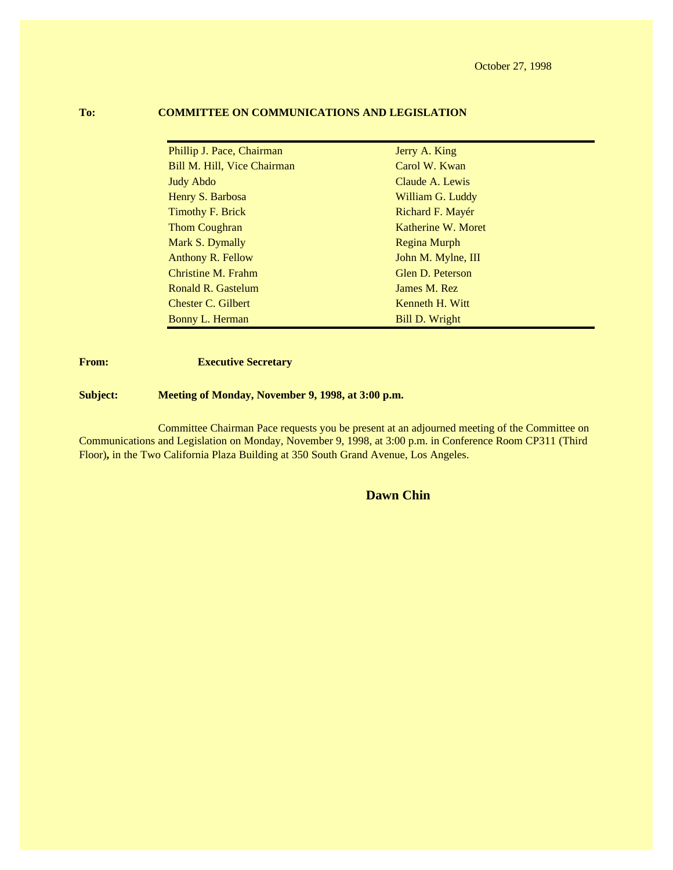October 27, 1998

| Phillip J. Pace, Chairman   | Jerry A. King      |
|-----------------------------|--------------------|
| Bill M. Hill, Vice Chairman | Carol W. Kwan      |
| <b>Judy Abdo</b>            | Claude A. Lewis    |
| Henry S. Barbosa            | William G. Luddy   |
| Timothy F. Brick            | Richard F. Mayér   |
| Thom Coughran               | Katherine W. Moret |
| Mark S. Dymally             | Regina Murph       |
| <b>Anthony R. Fellow</b>    | John M. Mylne, III |
| Christine M. Frahm          | Glen D. Peterson   |
| Ronald R. Gastelum          | James M. Rez       |
| Chester C. Gilbert          | Kenneth H. Witt    |
| Bonny L. Herman             | Bill D. Wright     |

#### **To: COMMITTEE ON COMMUNICATIONS AND LEGISLATION**

**From: Executive Secretary** 

**Subject: Meeting of Monday, November 9, 1998, at 3:00 p.m.**

Committee Chairman Pace requests you be present at an adjourned meeting of the Committee on Communications and Legislation on Monday, November 9, 1998, at 3:00 p.m. in Conference Room CP311 (Third Floor)**,** in the Two California Plaza Building at 350 South Grand Avenue, Los Angeles.

#### **Dawn Chin**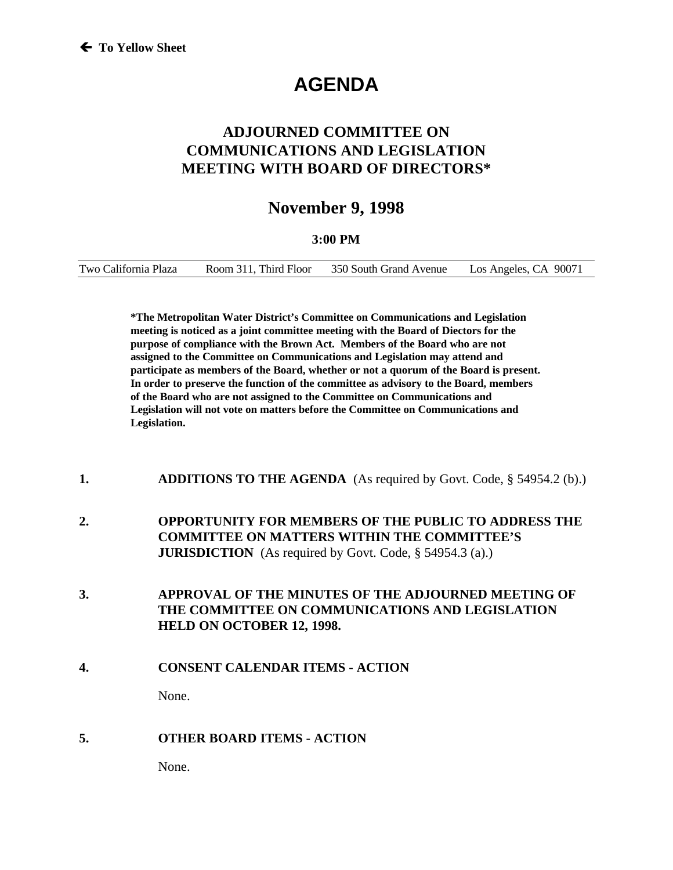# **AGENDA**

# **ADJOURNED COMMITTEE ON COMMUNICATIONS AND LEGISLATION MEETING WITH BOARD OF DIRECTORS\***

# **November 9, 1998**

#### **3:00 PM**

| Room 311. Third Floor<br>Two California Plaza | 350 South Grand Avenue | Los Angeles, CA 90071 |
|-----------------------------------------------|------------------------|-----------------------|
|-----------------------------------------------|------------------------|-----------------------|

**\*The Metropolitan Water District's Committee on Communications and Legislation meeting is noticed as a joint committee meeting with the Board of Diectors for the purpose of compliance with the Brown Act. Members of the Board who are not assigned to the Committee on Communications and Legislation may attend and participate as members of the Board, whether or not a quorum of the Board is present. In order to preserve the function of the committee as advisory to the Board, members of the Board who are not assigned to the Committee on Communications and Legislation will not vote on matters before the Committee on Communications and Legislation.**

- **1. ADDITIONS TO THE AGENDA** (As required by Govt. Code, § 54954.2 (b).)
- **2. OPPORTUNITY FOR MEMBERS OF THE PUBLIC TO ADDRESS THE COMMITTEE ON MATTERS WITHIN THE COMMITTEE'S JURISDICTION** (As required by Govt. Code, § 54954.3 (a).)
- **3. APPROVAL OF THE MINUTES OF THE ADJOURNED MEETING OF THE COMMITTEE ON COMMUNICATIONS AND LEGISLATION HELD ON OCTOBER 12, 1998.**
- **4. CONSENT CALENDAR ITEMS ACTION**

None.

#### **5. OTHER BOARD ITEMS - ACTION**

None.